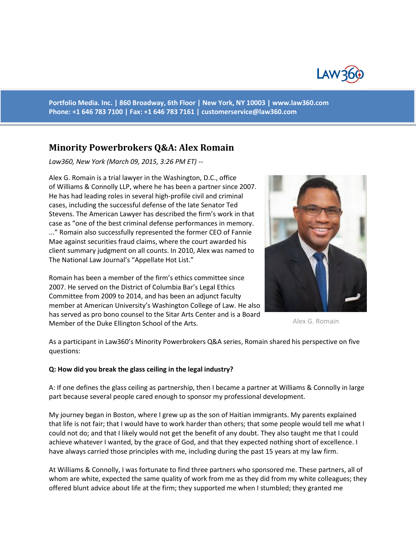

**Portfolio Media. Inc. | 860 Broadway, 6th Floor | New York, NY 10003 | www.law360.com Phone: +1 646 783 7100 | Fax: +1 646 783 7161 | [customerservice@law360.com](mailto:customerservice@law360.com)**

# **Minority Powerbrokers Q&A: Alex Romain**

*Law360, New York (March 09, 2015, 3:26 PM ET) --*

Alex G. Romain is a trial lawyer in the Washington, D.C., office of Williams & Connolly LLP, where he has been a partner since 2007. He has had leading roles in several high-profile civil and criminal cases, including the successful defense of the late Senator Ted Stevens. The American Lawyer has described the firm's work in that case as "one of the best criminal defense performances in memory. ..." Romain also successfully represented the former CEO of Fannie Mae against securities fraud claims, where the court awarded his client summary judgment on all counts. In 2010, Alex was named to The National Law Journal's "Appellate Hot List."

Romain has been a member of the firm's ethics committee since 2007. He served on the District of Columbia Bar's Legal Ethics Committee from 2009 to 2014, and has been an adjunct faculty member at American University's Washington College of Law. He also has served as pro bono counsel to the Sitar Arts Center and is a Board Member of the Duke Ellington School of the Arts.



Alex G. Romain

As a participant in Law360's Minority Powerbrokers Q&A series, Romain shared his perspective on five questions:

#### **Q: How did you break the glass ceiling in the legal industry?**

A: If one defines the glass ceiling as partnership, then I became a partner at Williams & Connolly in large part because several people cared enough to sponsor my professional development.

My journey began in Boston, where I grew up as the son of Haitian immigrants. My parents explained that life is not fair; that I would have to work harder than others; that some people would tell me what I could not do; and that I likely would not get the benefit of any doubt. They also taught me that I could achieve whatever I wanted, by the grace of God, and that they expected nothing short of excellence. I have always carried those principles with me, including during the past 15 years at my law firm.

At Williams & Connolly, I was fortunate to find three partners who sponsored me. These partners, all of whom are white, expected the same quality of work from me as they did from my white colleagues; they offered blunt advice about life at the firm; they supported me when I stumbled; they granted me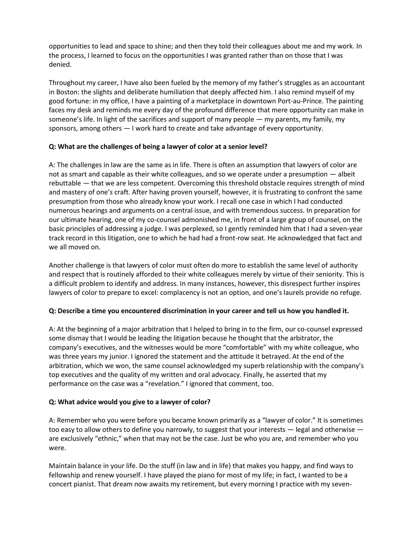opportunities to lead and space to shine; and then they told their colleagues about me and my work. In the process, I learned to focus on the opportunities I was granted rather than on those that I was denied.

Throughout my career, I have also been fueled by the memory of my father's struggles as an accountant in Boston: the slights and deliberate humiliation that deeply affected him. I also remind myself of my good fortune: in my office, I have a painting of a marketplace in downtown Port-au-Prince. The painting faces my desk and reminds me every day of the profound difference that mere opportunity can make in someone's life. In light of the sacrifices and support of many people — my parents, my family, my sponsors, among others — I work hard to create and take advantage of every opportunity.

### **Q: What are the challenges of being a lawyer of color at a senior level?**

A: The challenges in law are the same as in life. There is often an assumption that lawyers of color are not as smart and capable as their white colleagues, and so we operate under a presumption — albeit rebuttable — that we are less competent. Overcoming this threshold obstacle requires strength of mind and mastery of one's craft. After having proven yourself, however, it is frustrating to confront the same presumption from those who already know your work. I recall one case in which I had conducted numerous hearings and arguments on a central issue, and with tremendous success. In preparation for our ultimate hearing, one of my co-counsel admonished me, in front of a large group of counsel, on the basic principles of addressing a judge. I was perplexed, so I gently reminded him that I had a seven-year track record in this litigation, one to which he had had a front-row seat. He acknowledged that fact and we all moved on.

Another challenge is that lawyers of color must often do more to establish the same level of authority and respect that is routinely afforded to their white colleagues merely by virtue of their seniority. This is a difficult problem to identify and address. In many instances, however, this disrespect further inspires lawyers of color to prepare to excel: complacency is not an option, and one's laurels provide no refuge.

# **Q: Describe a time you encountered discrimination in your career and tell us how you handled it.**

A: At the beginning of a major arbitration that I helped to bring in to the firm, our co-counsel expressed some dismay that I would be leading the litigation because he thought that the arbitrator, the company's executives, and the witnesses would be more "comfortable" with my white colleague, who was three years my junior. I ignored the statement and the attitude it betrayed. At the end of the arbitration, which we won, the same counsel acknowledged my superb relationship with the company's top executives and the quality of my written and oral advocacy. Finally, he asserted that my performance on the case was a "revelation." I ignored that comment, too.

# **Q: What advice would you give to a lawyer of color?**

A: Remember who you were before you became known primarily as a "lawyer of color." It is sometimes too easy to allow others to define you narrowly, to suggest that your interests — legal and otherwise are exclusively "ethnic," when that may not be the case. Just be who you are, and remember who you were.

Maintain balance in your life. Do the stuff (in law and in life) that makes you happy, and find ways to fellowship and renew yourself. I have played the piano for most of my life; in fact, I wanted to be a concert pianist. That dream now awaits my retirement, but every morning I practice with my seven